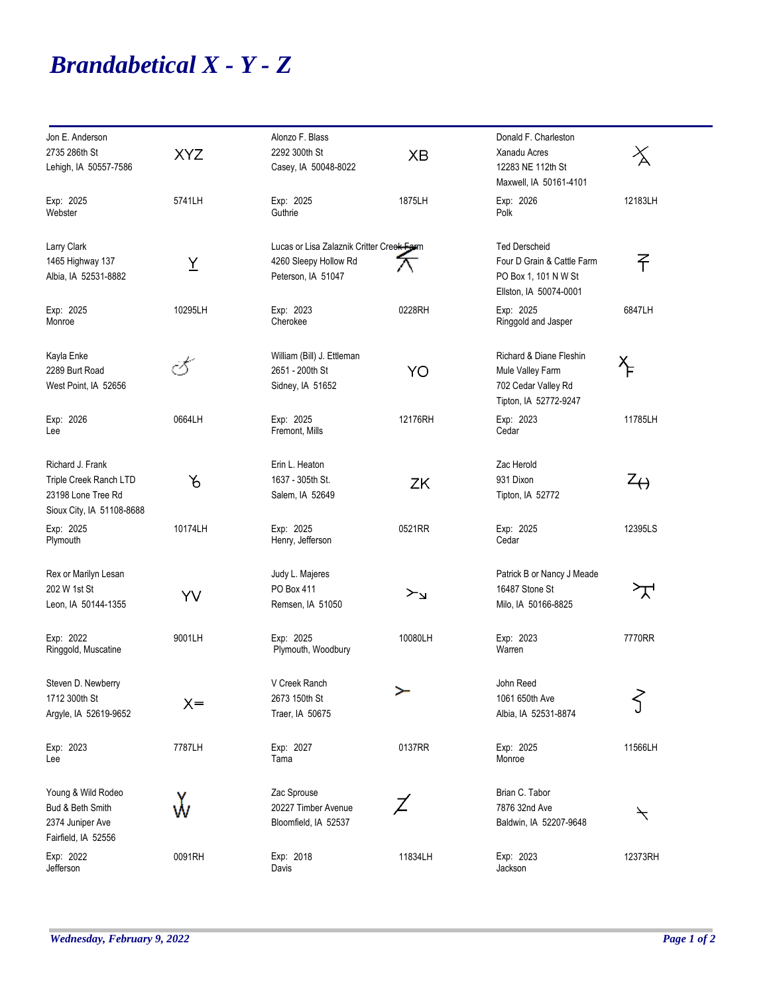## *Brandabetical X - Y - Z*

| Jon E. Anderson                                                           |            | Alonzo F. Blass                               |           | Donald F. Charleston                                                         |                          |
|---------------------------------------------------------------------------|------------|-----------------------------------------------|-----------|------------------------------------------------------------------------------|--------------------------|
| 2735 286th St                                                             | <b>XYZ</b> | 2292 300th St                                 | <b>XB</b> | Xanadu Acres                                                                 | ろ                        |
| Lehigh, IA 50557-7586                                                     |            | Casey, IA 50048-8022                          |           | 12283 NE 112th St<br>Maxwell, IA 50161-4101                                  |                          |
| Exp: 2025<br>Webster                                                      | 5741LH     | Exp: 2025<br>Guthrie                          | 1875LH    | Exp: 2026<br>Polk                                                            | 12183LH                  |
| Larry Clark                                                               |            | Lucas or Lisa Zalaznik Critter Creek Farm     |           | <b>Ted Derscheid</b>                                                         |                          |
| 1465 Highway 137<br>Albia, IA 52531-8882                                  | Y          | 4260 Sleepy Hollow Rd<br>Peterson, IA 51047   |           | Four D Grain & Cattle Farm<br>PO Box 1, 101 N W St<br>Ellston, IA 50074-0001 | 孑                        |
| Exp: 2025<br>Monroe                                                       | 10295LH    | Exp: 2023<br>Cherokee                         | 0228RH    | Exp: 2025<br>Ringgold and Jasper                                             | 6847LH                   |
| Kayla Enke<br>2289 Burt Road                                              | Ï          | William (Bill) J. Ettleman<br>2651 - 200th St | YO        | Richard & Diane Fleshin<br>Mule Valley Farm                                  | ኍ                        |
| West Point, IA 52656                                                      |            | Sidney, IA 51652                              |           | 702 Cedar Valley Rd<br>Tipton, IA 52772-9247                                 |                          |
| Exp: 2026<br>Lee                                                          | 0664LH     | Exp: 2025<br>Fremont, Mills                   | 12176RH   | Exp: 2023<br>Cedar                                                           | 11785LH                  |
| Richard J. Frank                                                          |            | Erin L. Heaton                                |           | Zac Herold                                                                   |                          |
| Triple Creek Ranch LTD<br>23198 Lone Tree Rd<br>Sioux City, IA 51108-8688 | 6          | 1637 - 305th St.<br>Salem, IA 52649           | ZK        | 931 Dixon<br>Tipton, IA 52772                                                | $z_{\leftrightarrow}$    |
| Exp: 2025<br>Plymouth                                                     | 10174LH    | Exp: 2025<br>Henry, Jefferson                 | 0521RR    | Exp: 2025<br>Cedar                                                           | 12395LS                  |
| Rex or Marilyn Lesan                                                      |            | Judy L. Majeres                               |           | Patrick B or Nancy J Meade                                                   |                          |
| 202 W 1st St<br>Leon, IA 50144-1355                                       | YV         | PO Box 411<br>Remsen, IA 51050                | ≻⊾        | 16487 Stone St<br>Milo, IA 50166-8825                                        | ᠊ᡯ                       |
| Exp: 2022<br>Ringgold, Muscatine                                          | 9001LH     | Exp: 2025<br>Plymouth, Woodbury               | 10080LH   | Exp: 2023<br>Warren                                                          | 7770RR                   |
| Steven D. Newberry<br>1712 300th St                                       |            | V Creek Ranch<br>2673 150th St                | ≻         | John Reed<br>1061 650th Ave                                                  | $\left\{ \right.$        |
| Argyle, IA 52619-9652                                                     | $X =$      | Traer, IA 50675                               |           | Albia, IA 52531-8874                                                         |                          |
| Exp: 2023<br>Lee                                                          | 7787LH     | Exp: 2027<br>Tama                             | 0137RR    | Exp: 2025<br>Monroe                                                          | 11566LH                  |
| Young & Wild Rodeo<br>Bud & Beth Smith                                    |            | Zac Sprouse<br>20227 Timber Avenue            |           | Brian C. Tabor<br>7876 32nd Ave                                              |                          |
| 2374 Juniper Ave<br>Fairfield, IA 52556                                   | Ŵ          | Bloomfield, IA 52537                          |           | Baldwin, IA 52207-9648                                                       | $\overline{\mathcal{L}}$ |
| Exp: 2022<br>Jefferson                                                    | 0091RH     | Exp: 2018<br>Davis                            | 11834LH   | Exp: 2023<br>Jackson                                                         | 12373RH                  |

۰